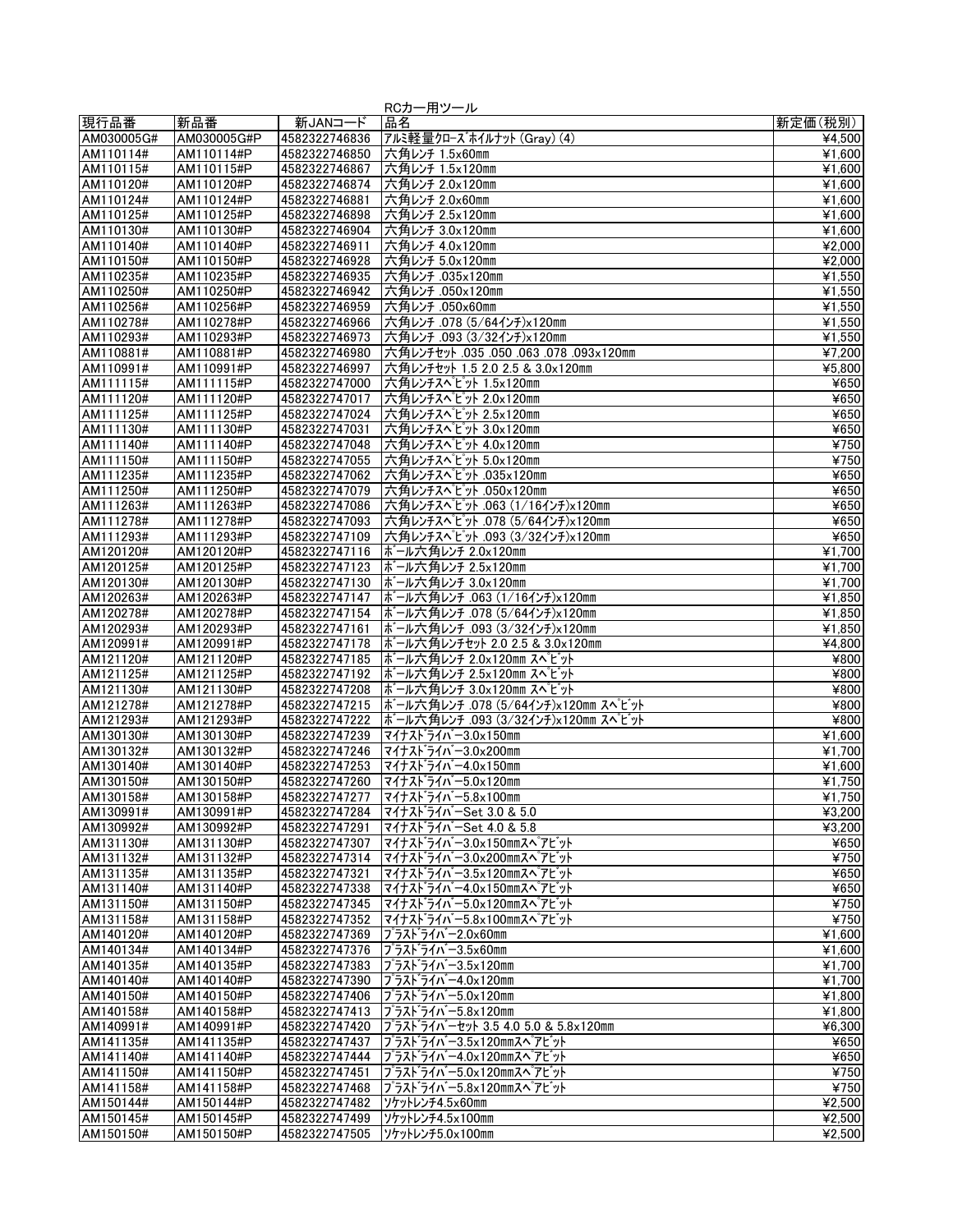|                        |                          |                                | RCカー用ツール                                                     |                                |
|------------------------|--------------------------|--------------------------------|--------------------------------------------------------------|--------------------------------|
| 現行品番                   | 新品番                      | 新JANコード                        | 品名                                                           | 新定価(税別)                        |
| AM030005G#             | AM030005G#P              | 4582322746836                  | アルミ軽量クローズホイルナット (Gray) (4)                                   | ¥4,500                         |
| AM110114#              | AM110114#P               | 4582322746850                  | 六角レンチ 1.5x60mm                                               | ¥1.600                         |
| AM110115#              | AM110115#P               | 4582322746867                  | 六角レンチ 1.5x120mm                                              | ¥1,600                         |
| AM110120#              | AM110120#P               | 4582322746874                  | 六角レンチ 2.0x120mm                                              | ¥1,600                         |
| AM110124#              | AM110124#P               | 4582322746881                  | 六角レンチ 2.0x60mm                                               | ¥1.600                         |
| AM110125#<br>AM110130# | AM110125#P<br>AM110130#P | 4582322746898<br>4582322746904 | 六角レンチ 2.5x120mm<br>六角レンチ 3.0x120mm                           | ¥1,600<br>$\overline{4}$ 1,600 |
| AM110140#              | AM110140#P               | 4582322746911                  | 六角レンチ 4.0x120mm                                              | ¥2,000                         |
| AM110150#              | AM110150#P               | 4582322746928                  | 六角レンチ 5.0x120mm                                              | ¥2,000                         |
| AM110235#              | AM110235#P               | 4582322746935                  | 六角レンチ.035x120mm                                              | ¥1,550                         |
| AM110250#              | AM110250#P               | 4582322746942                  | 六角レンチ.050x120mm                                              | ¥1,550                         |
| AM110256#              | AM110256#P               | 4582322746959                  | 六角レンチ .050x60mm                                              | ¥1,550                         |
| AM110278#              | AM110278#P               | 4582322746966                  | 六角レンチ .078 (5/64インチ)x120mm                                   | ¥1,550                         |
| AM110293#              | AM110293#P               | 4582322746973                  | 大角レンチ .093 (3/32インチ)x120mm                                   | ¥1,550                         |
| AM110881#              | AM110881#P               | 4582322746980                  | 大角レンチセット .035 .050 .063 .078 .093x120mm                      | ¥7,200                         |
| AM110991#              | AM110991#P               | 4582322746997                  | 六角レンチセット 1.5 2.0 2.5 & 3.0x120mm                             | ¥5,800                         |
| AM111115#              | AM111115#P               | 4582322747000                  | 六角レンチスペピット 1.5x120mm                                         | ¥650                           |
| AM111120#<br>AM111125# | AM111120#P<br>AM111125#P | 4582322747017<br>4582322747024 | 六角レンチスペピット 2.0x120mm<br>六角レンチスペピット 2.5x120mm                 | ¥650<br>¥650                   |
| AM111130#              | AM111130#P               | 4582322747031                  | 六角レンチスペピット 3.0x120mm                                         | ¥650                           |
| AM111140#              | AM111140#P               | 4582322747048                  | 六角レンチスペピット 4.0x120mm                                         | ¥750                           |
| AM111150#              | AM111150#P               | 4582322747055                  | 六角レンチスペピット 5.0x120mm                                         | ¥750                           |
| AM111235#              | AM111235#P               | 4582322747062                  | 六角レンチスペピット .035x120mm                                        | ¥650                           |
| AM111250#              | AM111250#P               | 4582322747079                  | 六角レンチスペピット .050x120mm                                        | ¥650                           |
| AM111263#              | AM111263#P               | 4582322747086                  | 六角レンチスペピット.063 (1/16インチ)x120mm                               | ¥650                           |
| AM111278#              | AM111278#P               | 4582322747093                  | 六角レンチスペピット .078 (5/64インチ)x120mm                              | ¥650                           |
| AM111293#              | AM111293#P               | 4582322747109                  | 六角レンチスペピット .093 (3/32インチ)x120mm                              | ¥650                           |
| AM120120#              | AM120120#P               | 4582322747116                  | ボール六角レンチ 2.0x120mm                                           | ¥1,700                         |
| AM120125#              | AM120125#P               | 4582322747123                  | ボール六角レンチ 2.5x120mm                                           | ¥1.700                         |
| AM120130#              | AM120130#P               | 4582322747130                  | ボール六角レンチ 3.0x120mm                                           | ¥1,700                         |
| AM120263#<br>AM120278# | AM120263#P<br>AM120278#P | 4582322747147<br>4582322747154 | ボール六角レンチ.063 (1/16インチ)x120mm<br>ボール六角レンチ.078 (5/64インチ)x120mm | ¥1,850<br>¥1,850               |
| AM120293#              | AM120293#P               | 4582322747161                  | ボール六角レンチ .093 (3/32インチ)×120mm                                | ¥1,850                         |
| AM120991#              | AM120991#P               | 4582322747178                  | ボール六角レンチセット 2.0 2.5 & 3.0x120mm                              | ¥4,800                         |
| AM121120#              | AM121120#P               | 4582322747185                  | ボール六角レンチ 2.0x120mm スペピット                                     | ¥800                           |
| AM121125#              | AM121125#P               | 4582322747192                  | ボール六角レンチ 2.5x120mm スペピット                                     | ¥800                           |
| AM121130#              | AM121130#P               | 4582322747208                  | ボール六角レンチ 3.0x120mm スペピット                                     | ¥800                           |
| AM121278#              | AM121278#P               | 4582322747215                  | ボール六角レンチ .078 (5/64インチ)x120mm スペピット                          | ¥800                           |
| AM121293#              | AM121293#P               | 4582322747222                  | ボール六角レンチ .093 (3/32インチ)x120mm スペピット                          | ¥800                           |
| AM130130#              | AM130130#P               | 4582322747239                  | マイナストライバー3.0x150mm                                           | ¥1,600                         |
| AM130132#              | AM130132#P               | 4582322747246                  | マイナストライバー3.0×200mm                                           | $\overline{41,700}$            |
| AM130140#              | AM130140#P               | 4582322747253                  | マイナストライバー4.0×150mm                                           | ¥1,600                         |
| AM130150#<br>AM130158# | AM130150#P<br>AM130158#P | 4582322747260<br>4582322747277 | マイナストライバー5.0x120mm<br> マイナスドライバー5.8×100mm                    | ¥1,750<br>¥1,750               |
| AM130991#              | AM130991#P               | 4582322747284                  | マイナスト゛ライバーSet 3.0 & 5.0                                      | ¥3,200                         |
| AM130992#              | AM130992#P               | 4582322747291                  | マイナスト゛ライハ゛ーSet 4.0 & 5.8                                     | ¥3,200                         |
| AM131130#              | AM131130#P               | 4582322747307                  | マイナスト゛ライハ゛ー3.0×150mmスヘ゜アビ゛ット                                 | ¥650                           |
| AM131132#              | AM131132#P               | 4582322747314                  | マイナストライバー3.0x200mmスペアビット                                     | ¥750                           |
| AM131135#              | AM131135#P               | 4582322747321                  | マイナスドライバー3.5x120mmスペ°アビット                                    | ¥650                           |
| AM131140#              | AM131140#P               | 4582322747338                  | マイナストライバー4.0×150mmスペアビット                                     | ¥650                           |
| AM131150#              | AM131150#P               | 4582322747345                  | マイナスト゛ライバー5.0x120mmスペ゜アビ゛ット                                  | ¥750                           |
| AM131158#              | AM131158#P               | 4582322747352                  | マイナスト゛ライバ゛ー5.8×100mmスペ゜アビ゛ット                                 | ¥750                           |
| AM140120#              | AM140120#P               | 4582322747369                  | プラストライバー2.0×60mm                                             | ¥1,600                         |
| AM140134#<br>AM140135# | AM140134#P<br>AM140135#P | 4582322747376<br>4582322747383 | プラスドライバー3.5×60mm<br> プラスドライバー3.5×120mm                       | ¥1,600<br>¥1,700               |
| AM140140#              | AM140140#P               | 4582322747390                  |                                                              | ¥1,700                         |
| AM140150#              | AM140150#P               | 4582322747406                  | プラストライバー4.0×120mm<br> プラスドライバー5.0x120mm                      | ¥1,800                         |
| AM140158#              | AM140158#P               | 4582322747413                  | プラスドライバー5.8x120mm                                            | ¥1,800                         |
| AM140991#              | AM140991#P               | 4582322747420                  | プラスドライバーセット 3.5 4.0 5.0 & 5.8×120mm                          | ¥6,300                         |
| AM141135#              | AM141135#P               | 4582322747437                  | ブラスドライバー3.5x120mmスベアビット                                      | ¥650                           |
| AM141140#              | AM141140#P               | 4582322747444                  | プラスドライバー4.0×120mmスペアビット                                      | ¥650                           |
| AM141150#              | AM141150#P               | 4582322747451                  | プラスドライバー5.0x120mmスペアビット                                      | ¥750                           |
| AM141158#              | AM141158#P               | 4582322747468                  | プラスドライバー5.8x120mmスペ゚アビット                                     | ¥750                           |
| AM150144#              | AM150144#P               | 4582322747482                  | ソケットレンチ4.5x60mm                                              | ¥2,500                         |
| AM150145#              | AM150145#P               | 4582322747499                  | ソケットレンチ4.5x100mm                                             | ¥2,500                         |
| AM150150#              | AM150150#P               | 4582322747505                  | ソケットレンチ5.0x100mm                                             | 42.500                         |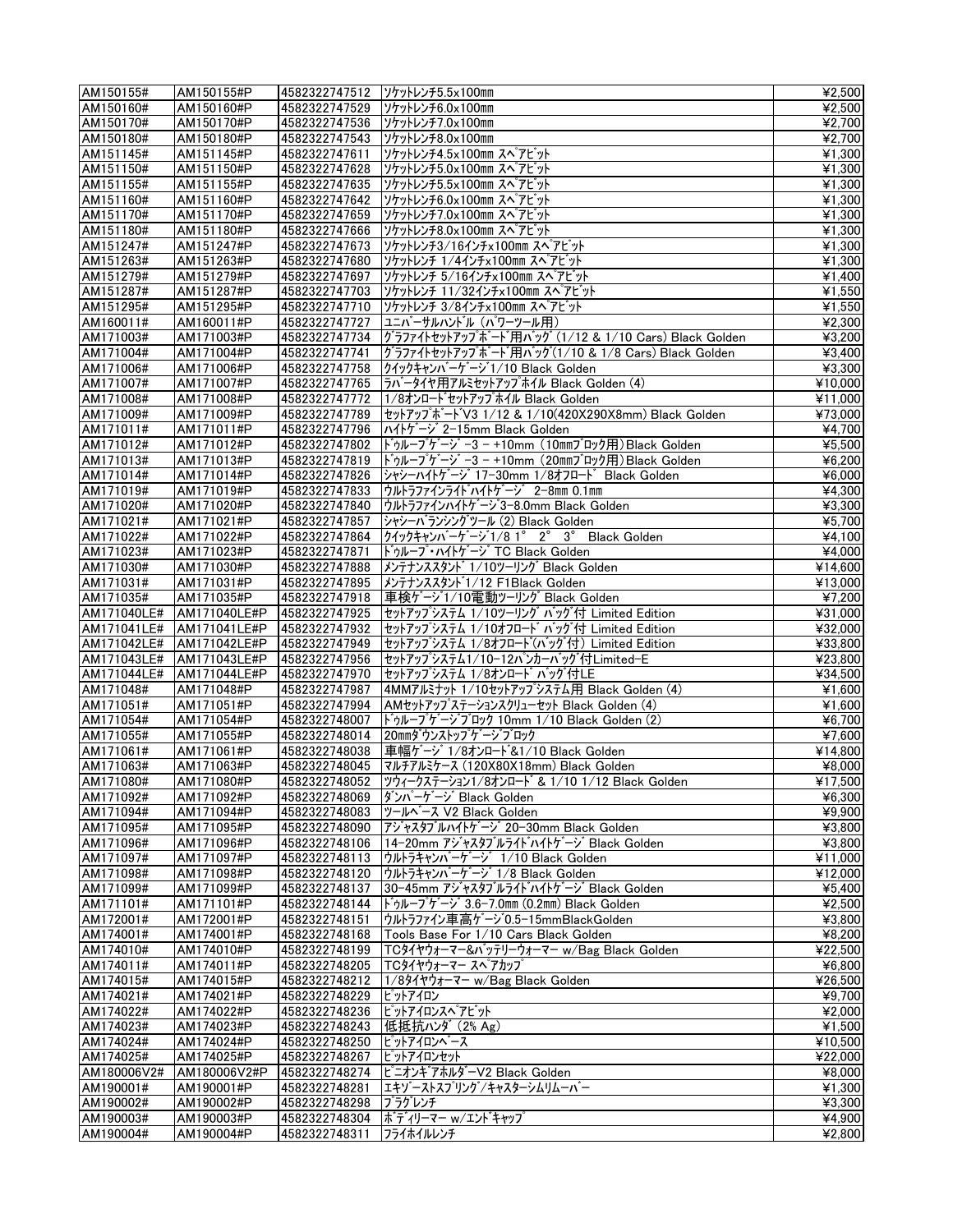| AM150155#              | AM150155#P               | 4582322747512 | ソケットレンチ5.5x100mm                                           | ¥2,500                     |
|------------------------|--------------------------|---------------|------------------------------------------------------------|----------------------------|
| AM150160#              | AM150160#P               | 4582322747529 | ソケットレンチ6.0x100mm                                           | ¥2,500                     |
| AM150170#              | AM150170#P               | 4582322747536 | ソケットレンチ7.0x100mm                                           | ¥2,700                     |
| AM150180#              | AM150180#P               | 4582322747543 | ソケットレンチ8.0x100mm                                           | ¥2,700                     |
| AM151145#              | AM151145#P               | 4582322747611 | ソケットレンチ4.5x100mm スペ アビット                                   | ¥1,300                     |
| AM151150#              | AM151150#P               | 4582322747628 | ソケットレンチ5.0x100mm スペプピット                                    | ¥1,300                     |
| AM151155#              | AM151155#P               | 4582322747635 | ソケットレンチ5.5x100mm スペプビット                                    | ¥1,300                     |
| AM151160#              | AM151160#P               | 4582322747642 | ソケットレンチ6.0x100mm スペプビット                                    | ¥1,300                     |
| AM151170#              | AM151170#P               | 4582322747659 | ソケットレンチ7.0×100mm スペ アビット                                   | ¥1,300                     |
| AM151180#              | AM151180#P               | 4582322747666 | ソケットレンチ8.0x100mm スペプビット                                    | ¥1,300                     |
| AM151247#              | AM151247#P               | 4582322747673 | ソケットレンチ3/16インチx100mm スペプビット                                | ¥1,300                     |
| AM151263#              | AM151263#P               | 4582322747680 | ソケットレンチ 1/4インチ×100mm スペプピット                                | ¥1,300                     |
| AM151279#              | AM151279#P               | 4582322747697 | ソケットレンチ 5/16インチx100mm スペプビット                               | ¥1,400                     |
| AM151287#              | AM151287#P               | 4582322747703 | ソケットレンチ 11/32インチx100mm スペプピット                              | ¥1,550                     |
| AM151295#              | AM151295#P               | 4582322747710 | ソケットレンチ 3/8インチ×100mm スペ アビット                               | ¥1,550                     |
| AM160011#              | AM160011#P               | 4582322747727 | ユニバーサルハントル (パワーツール用)                                       | $\overline{42,300}$        |
| AM171003#              | AM171003#P               | 4582322747734 | グラファイトセットアップボート「用バッグ (1/12 & 1/10 Cars) Black Golden       | ¥3,200                     |
| AM171004#              | AM171004#P               | 4582322747741 | グラファイトセットアップボード用バッグ(1/10 & 1/8 Cars) Black Golden          | ¥3,400                     |
| AM171006#              | AM171006#P               | 4582322747758 | クイックキャンバーゲージ1/10 Black Golden                              | ¥3,300                     |
| AM171007#              | AM171007#P               | 4582322747765 | ラバータイヤ用アルミセットアップホイル Black Golden (4)                       | ¥10,000                    |
| AM171008#              | AM171008#P               | 4582322747772 | 1/8オンロート゛セットアップホイル Black Golden                            | ¥11,000                    |
| AM171009#              | AM171009#P               | 4582322747789 | セットアップボート V3 1/12 & 1/10(420X290X8mm) Black Golden         | ¥73,000                    |
| AM171011#              | AM171011#P               | 4582322747796 | ハイトゲージ 2-15mm Black Golden                                 | $\overline{44,700}$        |
| AM171012#              | AM171012#P               | 4582322747802 | ドゥループゲージ -3 - +10mm (10mmブロック用) Black Golden               | ¥5,500                     |
| AM171013#              | AM171013#P               | 4582322747819 | ドゥループゲージ -3 - +10mm (20mmブロック用)Black Golden                | ¥6,200                     |
| AM171014#              | AM171014#P               | 4582322747826 | シャシーハイトゲージ 17-30mm 1/8オフロート゛ Black Golden                  | ¥6,000                     |
| AM171019#              | AM171019#P               | 4582322747833 | ウルトラファインライト゛ハイトケ゛ーシ゛ 2-8mm 0.1mm                           | $\overline{\text{44,300}}$ |
| AM171020#              | AM171020#P               | 4582322747840 | ウルトラファインハイトケージ3-8.0mm Black Golden                         | ¥3,300                     |
| AM171021#              | AM171021#P               | 4582322747857 | シャシーバランシングツール (2) Black Golden                             | ¥5,700                     |
| AM171022#              | AM171022#P               | 4582322747864 | クイックキャンバーゲージ1/8 1° 2° 3° Black Golden                      | $\overline{44,100}$        |
| AM171023#              | AM171023#P               | 4582322747871 | トゥループ・ハイトゲージ TC Black Golden                               | ¥4,000                     |
| AM171030#              | AM171030#P               | 4582322747888 | メンテナンススタント゛1/10ツーリング Black Golden                          | ¥14,600                    |
| AM171031#              | AM171031#P               | 4582322747895 | メンテナンススタント 1/12 F1Black Golden                             | ¥13,000                    |
| AM171035#              | AM171035#P               | 4582322747918 | 車検ゲージ1/10電動ツーリング Black Golden                              | ¥7,200                     |
| AM171040LE#            | AM171040LE#P             | 4582322747925 | セットアップシステム 1/10ツーリング バッグ付 Limited Edition                  | ¥31,000                    |
| AM171041LE#            | AM171041LE#P             | 4582322747932 | セットアップシステム 1/10オフロート゛ バッグ付 Limited Edition                 | ¥32.000                    |
| AM171042LE#            | AM171042LE#P             | 4582322747949 | セットアップシステム 1/8オフロート(バッグ付) Limited Edition                  | ¥33,800                    |
| AM171043LE#            | AM171043LE#P             | 4582322747956 | セットアップシステム1/10−12パンカーバッグ付Limited−E                         | ¥23,800                    |
| AM171044LE#            | AM171044LE#P             | 4582322747970 | セットアップシステム 1/8オンロート゛ バッグ 付LE                               | ¥34,500                    |
| AM171048#              | AM171048#P               | 4582322747987 | 4MMアルミナット 1/10セットアップシステム用 Black Golden (4)                 | ¥1,600                     |
| AM171051#              | AM171051#P               | 4582322747994 | AMセットアップステーションスクリューセット Black Golden (4)                    | $\overline{4}$ 1,600       |
| AM171054#              | AM171054#P               | 4582322748007 | ドゥループゲージブロック 10mm 1/10 Black Golden (2)                    | ¥6,700                     |
| AM171055#              | AM171055#P               | 4582322748014 | 20mmダウンストップゲージブロック                                         | ¥7,600                     |
| AM171061#              | AM171061#P               | 4582322748038 | 車幅ゲージ 1/8オンロート &1/10 Black Golden                          | ¥14.800                    |
| AM171063#              | AM171063#P               | 4582322748045 | マルチアルミケース (120X80X18mm) Black Golden                       | ¥8,000                     |
| AM171080#              | AM171080#P               |               | 4582322748052 ツウィークステーション1/8オンロート & 1/10 1/12 Black Golden | ¥17,500                    |
| AM171092#              | AM171092#P               |               | 4582322748069  ダンパーゲージ Black Golden                        | ¥6,300                     |
| AM171094#              | AM171094#P               |               | 4582322748083  ツールペース V2 Black Golden                      | ¥9,900                     |
| AM171095#              | AM171095#P               |               | 4582322748090 アジャスタブルハイトケージ 20-30mm Black Golden           | ¥3,800                     |
| AM171096#              | AM171096#P               |               | 4582322748106   14-20mm アジャスタブルライドハイトゲージ Black Golden      | ¥3,800                     |
| AM171097#              | AM171097#P               |               | 4582322748113  ウルトラキャンバーゲージ 1/10 Black Golden              | ¥11,000                    |
| AM171098#              | AM171098#P               |               | 4582322748120  ウルトラキャンバーゲージ 1/8 Black Golden               | ¥12,000                    |
| AM171099#              | AM171099#P               |               | 4582322748137 30-45mm アジャスタブルライドハイトゲージ Black Golden        | ¥5.400                     |
| AM171101#              | AM171101#P               |               | 4582322748144   ドゥループゲージ 3.6-7.0mm (0.2mm) Black Golden    | ¥2.500                     |
| AM172001#              | AM172001#P               | 4582322748151 | ウルトラファイン車高ゲージ0.5-15mmBlackGolden                           | ¥3,800                     |
| AM174001#              | AM174001#P               | 4582322748168 | Tools Base For 1/10 Cars Black Golden                      | ¥8,200                     |
| AM174010#              | AM174010#P               |               | 4582322748199   TCタイヤウォーマー&バッテリーウォーマー w/Bag Black Golden   | ¥22,500                    |
| AM174011#              | AM174011#P               |               | 4582322748205  TCタイヤウォーマー スペ゚アカップ                          | ¥6,800                     |
| AM174015#              | AM174015#P               | 4582322748212 | 1/89イヤウォーマー w/Bag Black Golden                             | ¥26,500                    |
| AM174021#              | AM174021#P               | 4582322748229 | ピットアイロン                                                    | ¥9,700                     |
| AM174022#              | AM174022#P               |               | 4582322748236 ピットアイロンスペアビット                                | ¥2,000                     |
| AM174023#              | AM174023#P               | 4582322748243 | 低抵抗ハンダ (2% Ag)                                             | ¥1,500                     |
| AM174024#              | AM174024#P               | 4582322748250 | ピットアイロンヘース                                                 | ¥10,500                    |
| AM174025#              | AM174025#P               | 4582322748267 | ピットアイロンセット                                                 | ¥22,000                    |
| AM180006V2#            | AM180006V2#P             |               | 4582322748274   ピニオンキアホルダーV2 Black Golden                  | ¥8,000                     |
| AM190001#              | AM190001#P               | 4582322748281 | エキゾーストスプリング/キャスターシムリムーバー                                   | ¥1,300<br>¥3,300           |
| AM190002#<br>AM190003# | AM190002#P<br>AM190003#P | 4582322748298 | ブラグレンチ<br>4582322748304  ボディリーマー w/エントキャップ                 | ¥4,900                     |
| AM190004#              | AM190004#P               |               |                                                            | ¥2,800                     |
|                        |                          | 4582322748311 | フライホイルレンチ                                                  |                            |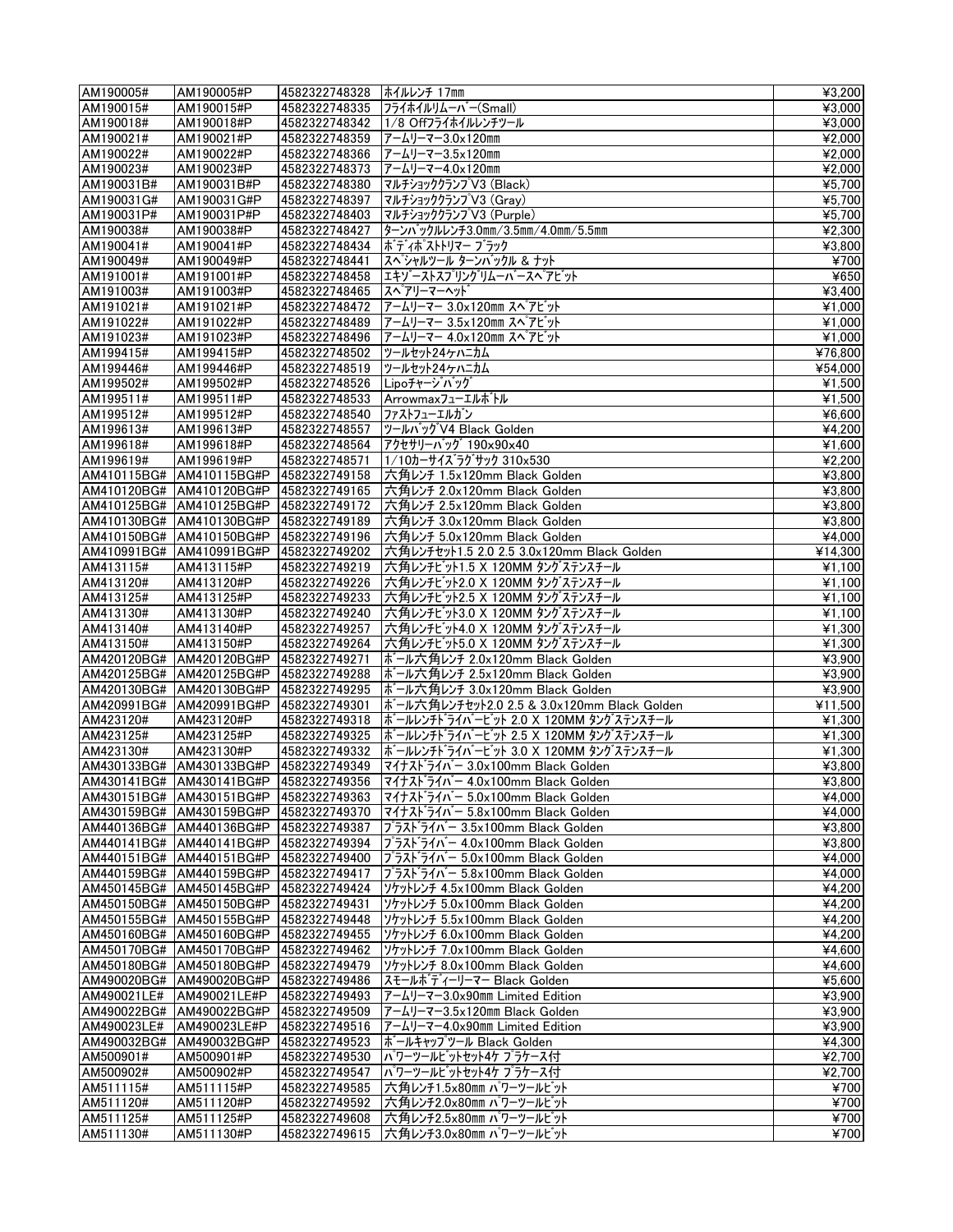| AM190005#   | AM190005#P                                           | 4582322748328                  | ホイルレンチ 17mm                                                                        | ¥3,200                        |
|-------------|------------------------------------------------------|--------------------------------|------------------------------------------------------------------------------------|-------------------------------|
| AM190015#   | AM190015#P                                           | 4582322748335                  | フライホイルリムーバー(Small)                                                                 | ¥3,000                        |
| AM190018#   | AM190018#P                                           | 4582322748342                  | 1/8 Offフライホイルレンチツール                                                                | $\overline{\text{¥3,000}}$    |
| AM190021#   | AM190021#P                                           | 4582322748359                  | アームリーマー3.0×120mm                                                                   | ¥2,000                        |
| AM190022#   | AM190022#P                                           | 4582322748366                  | アームリーマー3.5x120mm                                                                   | ¥2,000                        |
| AM190023#   | AM190023#P                                           | 4582322748373                  | フームリーマー4.0×120mm                                                                   | ¥2,000                        |
| AM190031B#  | AM190031B#P                                          | 4582322748380                  | マルチショッククランプV3 (Black)                                                              | ¥5,700                        |
| AM190031G#  | AM190031G#P                                          | 4582322748397                  | マルチショッククランプ V3 (Gray)                                                              | ¥5,700                        |
| AM190031P#  | AM190031P#P                                          | 4582322748403                  | マルチショッククランプV3 (Purple)                                                             | ¥5,700                        |
| AM190038#   | AM190038#P                                           | 4582322748427                  | ターンバックルレンチ3.0mm/3.5mm/4.0mm/5.5mm                                                  | ¥2,300                        |
| AM190041#   | AM190041#P                                           | 4582322748434                  | ボディポストトリマー ブラック                                                                    | ¥3,800                        |
| AM190049#   | AM190049#P                                           | 4582322748441                  | スペシャルツール ターンバックル & ナット                                                             | ¥700                          |
| AM191001#   | AM191001#P                                           | 4582322748458                  | エキゾーストスプリングリムーバースペアビット                                                             | ¥650                          |
| AM191003#   | AM191003#P                                           | 4582322748465                  | スペアリーマーヘット                                                                         | ¥3.400                        |
| AM191021#   | AM191021#P                                           | 4582322748472                  | アームリーマー 3.0×120mm スペプピット                                                           | ¥1,000                        |
| AM191022#   | AM191022#P                                           | 4582322748489                  | アームリーマー 3.5x120mm スペアビット                                                           | $\overline{4}$ 1,000          |
| AM191023#   | AM191023#P                                           | 4582322748496                  | アームリーマー 4.0x120mm スペプピット                                                           | ¥1,000                        |
| AM199415#   | AM199415#P                                           | 4582322748502                  | ツールセット24ケハニカム                                                                      | ¥76,800                       |
| AM199446#   | AM199446#P                                           | 4582322748519                  | ツールセット24ケハニカム                                                                      | ¥54,000                       |
| AM199502#   | AM199502#P                                           | 4582322748526                  | Lipoチャージバッグ                                                                        | ¥1,500                        |
| AM199511#   | AM199511#P                                           | 4582322748533                  | Arrowmaxフューエルボトル                                                                   | ¥1,500                        |
| AM199512#   | AM199512#P                                           | 4582322748540                  | ファストフューエルガン                                                                        | ¥6,600                        |
| AM199613#   | AM199613#P                                           | 4582322748557                  | ツールバッグV4 Black Golden                                                              | ¥4,200                        |
| AM199618#   | AM199618#P                                           | 4582322748564                  | アクセサリーバッグ 190×90×40                                                                | ¥1,600                        |
| AM199619#   | AM199619#P                                           | 4582322748571                  | 1/10カーサイズラグサック 310x530                                                             | ¥2,200                        |
|             | AM410115BG# AM410115BG#P                             | 4582322749158                  | 六角レンチ 1.5x120mm Black Golden                                                       | ¥3,800                        |
|             | AM410120BG# AM410120BG#P 4582322749165               |                                | 六角レンチ 2.0x120mm Black Golden                                                       | $\overline{\text{¥3,800}}$    |
|             | AM410125BG# AM410125BG#P 4582322749172               |                                | 六角レンチ 2.5x120mm Black Golden                                                       | ¥3,800                        |
|             | AM410130BG# AM410130BG#P 4582322749189               |                                | 六角レンチ 3.0x120mm Black Golden                                                       | ¥3,800                        |
|             | AM410150BG# AM410150BG#P 4582322749196               |                                | 六角レンチ 5.0x120mm Black Golden                                                       | $\overline{4}$ ,000           |
|             | AM410991BG# AM410991BG#P 4582322749202               |                                | 六角レンチセット1.5 2.0 2.5 3.0x120mm Black Golden                                         | ¥14,300                       |
| AM413115#   | AM413115#P                                           | 4582322749219                  | 六角レンチビット1.5 X 120MM タングステンスチール                                                     | ¥1,100                        |
| AM413120#   | AM413120#P                                           | 4582322749226                  | 六角レンチビット2.0 X 120MM タングステンスチール                                                     | ¥1,100                        |
| AM413125#   | AM413125#P                                           | 4582322749233                  | 六角レンチビット2.5 X 120MM タングステンスチール                                                     | ¥1,100                        |
| AM413130#   | AM413130#P                                           | 4582322749240                  | 六角レンチビット3.0 X 120MM タングステンスチール                                                     | ¥1.100                        |
| AM413140#   | AM413140#P                                           | 4582322749257                  | 六角レンチビット4.0 X 120MM タングステンスチール                                                     | ¥1,300                        |
| AM413150#   | AM413150#P<br>AM420120BG# AM420120BG#P 4582322749271 | 4582322749264                  | 六角レンチビット5.0 X 120MM タングステンスチール<br>ボール六角レンチ 2.0x120mm Black Golden                  | ¥1,300<br>¥3,900              |
|             | AM420125BG# AM420125BG#P 4582322749288               |                                | ボール六角レンチ 2.5x120mm Black Golden                                                    | ¥3,900                        |
|             | AM420130BG# AM420130BG#P                             | 4582322749295                  | ボール六角レンチ 3.0x120mm Black Golden                                                    | ¥3,900                        |
|             | AM420991BG# AM420991BG#P 4582322749301               |                                | ボール六角レンチセット2.0 2.5 & 3.0x120mm Black Golden                                        | ¥11,500                       |
| AM423120#   | AM423120#P                                           | 4582322749318                  | ボールレンチドライバービット 2.0 X 120MM タングステンスチール                                              | ¥1.300                        |
| AM423125#   | AM423125#P                                           | 4582322749325                  | ボールレンチドライバービット 2.5 X 120MM タングステンスチール                                              | ¥1,300                        |
| AM423130#   | AM423130#P                                           | 4582322749332                  | ボールレンチドライバービット 3.0 X 120MM タングステンスチール                                              | ¥1.300                        |
|             | AM430133BG# AM430133BG#P 4582322749349               |                                | マイナストライバー 3.0x100mm Black Golden                                                   | ¥3,800                        |
|             |                                                      |                                | AM430141BG# AM430141BG#P 4582322749356 マイナストライバー 4.0x100mm Black Golden            | $\frac{1}{4}3,800$            |
|             | AM430151BG#  AM430151BG#P  4582322749363             |                                | マイナストライバー 5.0x100mm Black Golden                                                   | ¥4,000                        |
|             | AM430159BG#   AM430159BG#P   4582322749370           |                                | $7717 \times 5711$ = 5.8x100mm Black Golden                                        | ¥4,000                        |
|             | AM440136BG#   AM440136BG#P                           | 4582322749387                  | $777\lambda$ $7\lambda$ $-3.5x100$ mm Black Golden                                 | ¥3,800                        |
|             | AM440141BG#   AM440141BG#P                           | 4582322749394                  | $777\lambda$ $7\lambda$ $-$ 4.0x100mm Black Golden                                 | ¥3,800                        |
|             | AM440151BG#   AM440151BG#P                           | 4582322749400                  | プラストライバー 5.0x100mm Black Golden                                                    | ¥4,000                        |
|             | AM440159BG#   AM440159BG#P   4582322749417           |                                | $ J^{\circ}$ $7\lambda$ $\lambda$ $\lambda$ $\lambda$ $-$ 5.8x100mm Black Golden   | ¥4,000                        |
|             | AM450145BG# AM450145BG#P                             | 4582322749424                  | ソケットレンチ 4.5x100mm Black Golden                                                     | ¥4,200                        |
|             | AM450150BG#   AM450150BG#P                           | 4582322749431                  | ソケットレンチ 5.0x100mm Black Golden                                                     | ¥4,200                        |
|             | AM450155BG# AM450155BG#P                             | 4582322749448                  | ソケットレンチ 5.5x100mm Black Golden                                                     | ¥4,200                        |
|             | AM450160BG#  AM450160BG#P                            | 4582322749455                  | ソケットレンチ 6.0x100mm Black Golden                                                     | ¥4,200                        |
|             | AM450170BG# AM450170BG#P                             | 4582322749462                  | ソケットレンチ 7.0x100mm Black Golden                                                     | ¥4.600                        |
|             | AM450180BG# AM450180BG#P                             | 4582322749479                  | ソケットレンチ 8.0x100mm Black Golden                                                     | ¥4,600                        |
|             | AM490020BG#  AM490020BG#P  4582322749486             |                                | スモールポディーリーマー Black Golden                                                          | ¥5,600                        |
| AM490021LE# | AM490021LE#P                                         | 4582322749493                  | $7 - L$ J $-7 - 3.0 \times 90$ mm Limited Edition<br>アームリーマー3.5x120mm Black Golden | $\overline{43,900}$<br>¥3,900 |
| AM490023LE# | AM490022BG#  AM490022BG#P<br>AM490023LE#P            | 4582322749509<br>4582322749516 | アームリーマー4.0x90mm Limited Edition                                                    | ¥3,900                        |
| AM490032BG# | AM490032BG#P                                         | 4582322749523                  | ボールキャップツール Black Golden                                                            | ¥4,300                        |
| AM500901#   | AM500901#P                                           | 4582322749530                  | パワーツールビットセット4ケ プラケース付                                                              | ¥2,700                        |
| AM500902#   | AM500902#P                                           | 4582322749547                  | パワーツールビットセット4ケ プラケース付                                                              | ¥2,700                        |
| AM511115#   | AM511115#P                                           | 4582322749585                  | 六角レンチ1.5x80mm パワーツールビット                                                            | ¥700                          |
| AM511120#   | AM511120#P                                           | 4582322749592                  | 六角レンチ2.0x80㎜ バワーツールビット                                                             | ¥700                          |
| AM511125#   | AM511125#P                                           | 4582322749608                  | 六角レンチ2.5x80mm バワーツールビット                                                            | ¥700                          |
| AM511130#   | AM511130#P                                           | 4582322749615                  | 六角レンチ3.0x80mm パワーツールビット                                                            | ¥700                          |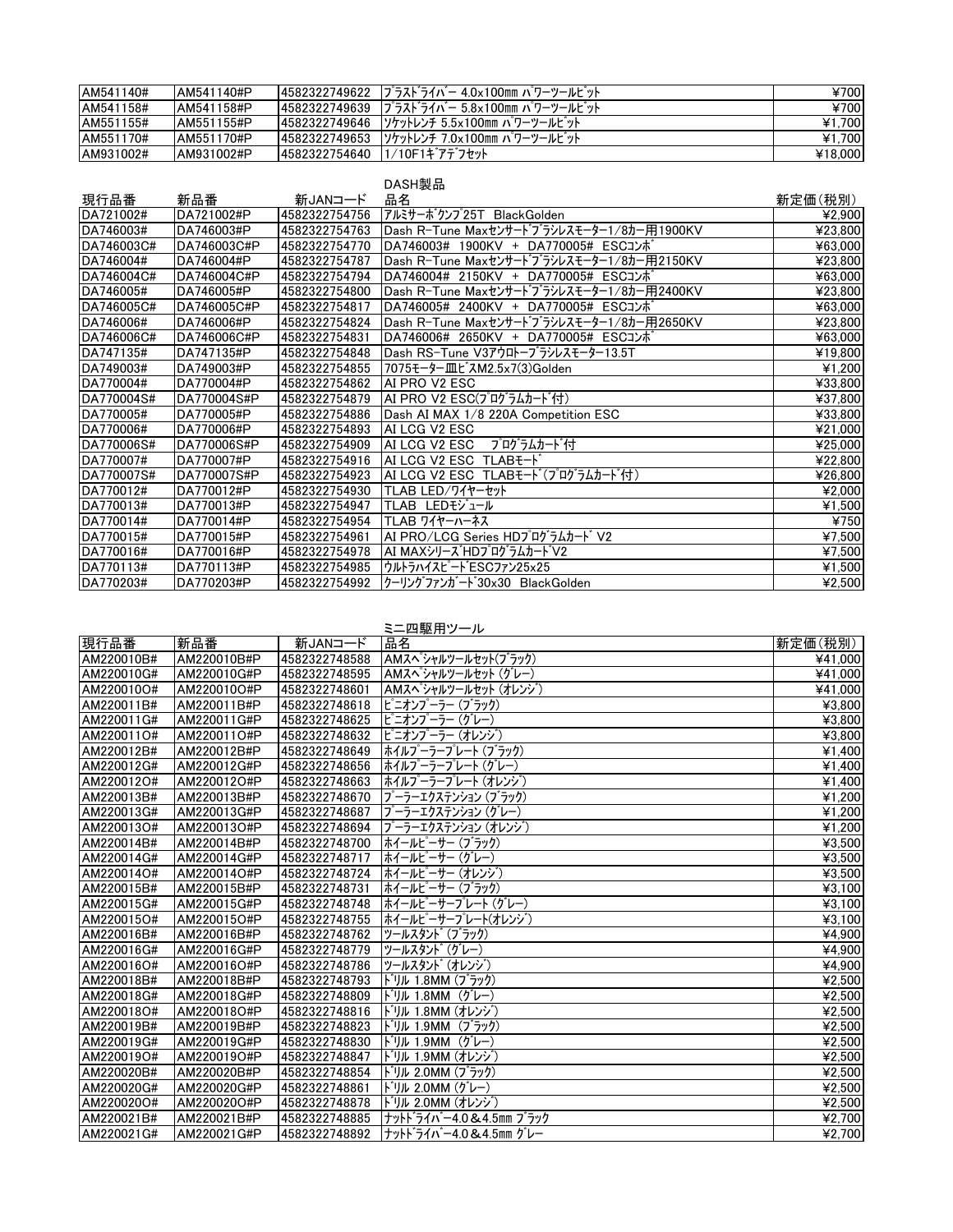| AM541140# | AM541140#P  |               | 4582322749622  プラストライバー 4.0x100mm パワーツールビット | ¥700    |
|-----------|-------------|---------------|---------------------------------------------|---------|
| AM541158# | AM541158#P  |               | 4582322749639  プラストライバー 5.8x100mm パワーツールビット | ¥700    |
| AM551155# | AM551155#P  |               | 4582322749646  ソケットレンチ 5.5×100mm パワーツールビット  | ¥1.700  |
| AM551170# | AM551170#P  |               | 4582322749653  ソケットレンチ 7.0×100mm バワーツールビット  | ¥1.700  |
| AM931002# | LAM931002#P | 4582322754640 | 1/10F1ギアデフセット                               | ¥18,000 |

## DASH製品

| 現行品番       | 新品番         | 新JANコード       | 品名                                         | 新定価(税別) |
|------------|-------------|---------------|--------------------------------------------|---------|
| DA721002#  | DA721002#P  | 4582322754756 | アルミサーボクンプ25T BlackGolden                   | ¥2,900  |
| DA746003#  | DA746003#P  | 4582322754763 | Dash R-Tune Maxセンサート゛ブラシレスモーター1/8カー用1900KV | ¥23,800 |
| DA746003C# | DA746003C#P | 4582322754770 | DA746003# 1900KV + DA770005# ESCコンポ        | ¥63,000 |
| DA746004#  | DA746004#P  | 4582322754787 | Dash R-Tune Maxセンサードブラシレスモーター1/8カー用2150KV  | ¥23,800 |
| DA746004C# | DA746004C#P | 4582322754794 | DA746004# 2150KV + DA770005# ESCコンボ        | ¥63,000 |
| DA746005#  | DA746005#P  | 4582322754800 | Dash R-Tune Maxセンサート゛ブラシレスモーター1/8カー用2400KV | ¥23,800 |
| DA746005C# | DA746005C#P | 4582322754817 | DA746005# 2400KV + DA770005# ESCコンポ        | ¥63,000 |
| DA746006#  | DA746006#P  | 4582322754824 | Dash R-Tune Maxセンサードブラシレスモーター1/8カー用2650KV  | ¥23,800 |
| DA746006C# | DA746006C#P | 4582322754831 | DA746006# 2650KV + DA770005# ESCコンポ        | ¥63,000 |
| DA747135#  | DA747135#P  | 4582322754848 | Dash RS-Tune V3アウロトーブラシレスモーター13.5T         | ¥19,800 |
| DA749003#  | DA749003#P  | 4582322754855 | 7075モーター皿ビスM2.5x7(3)Golden                 | ¥1,200  |
| DA770004#  | DA770004#P  | 4582322754862 | AI PRO V2 ESC                              | ¥33,800 |
| DA770004S# | DA770004S#P | 4582322754879 | AI PRO V2 ESC(プログラムカード付)                   | ¥37,800 |
| DA770005#  | DA770005#P  | 4582322754886 | Dash AI MAX 1/8 220A Competition ESC       | ¥33,800 |
| DA770006#  | DA770006#P  | 4582322754893 | AI LCG V2 ESC                              | ¥21,000 |
| DA770006S# | DA770006S#P | 4582322754909 | AI LCG V2 ESC<br>プログラムカード付                 | ¥25,000 |
| DA770007#  | DA770007#P  | 4582322754916 | AI LCG V2 ESC TLABE-I                      | ¥22,800 |
| DA770007S# | DA770007S#P | 4582322754923 | AI LCG V2 ESC TLABモード(プログラムカード付)           | ¥26,800 |
| DA770012#  | DA770012#P  | 4582322754930 | TLAB LED/ワイヤーセット                           | ¥2,000  |
| DA770013#  | DA770013#P  | 4582322754947 | TLAB LEDモジュール                              | ¥1,500  |
| DA770014#  | DA770014#P  | 4582322754954 | TLAB ワイヤーハーネス                              | ¥750    |
| DA770015#  | DA770015#P  | 4582322754961 | AI PRO/LCG Series HDプログラムカード V2            | ¥7,500  |
| DA770016#  | DA770016#P  | 4582322754978 | AI MAXシリース゛HDプログラムカードV2                    | ¥7,500  |
| DA770113#  | DA770113#P  | 4582322754985 | ウルトラハイスピート ESCファン25x25                     | ¥1,500  |
| DA770203#  | DA770203#P  | 4582322754992 | クーリングファンガート30x30 BlackGolden               | ¥2,500  |

|            |             |               | ミニ四駆用ツール                         |         |
|------------|-------------|---------------|----------------------------------|---------|
| 現行品番       | 新品番         | 新JANコード       | 品名                               | 新定価(税別) |
| AM220010B# | AM220010B#P | 4582322748588 | AMスペ <sup></sup> シャルツールセット(ブラック) | ¥41,000 |
| AM220010G# | AM220010G#P | 4582322748595 | AMスペ シャルツールセット (グレー)             | ¥41.000 |
| AM220010O# | AM220010O#P | 4582322748601 | AMスペシャルツールセット (オレンジ)             | ¥41,000 |
| AM220011B# | AM220011B#P | 4582322748618 | ピニオンプーラー (ブラック)                  | ¥3,800  |
| AM220011G# | AM220011G#P | 4582322748625 | ピニオンプーラー (グレー)                   | ¥3,800  |
| AM220011O# | AM220011O#P | 4582322748632 | ピニオンプーラー (オレンジ)                  | ¥3,800  |
| AM220012B# | AM220012B#P | 4582322748649 | ホイルプーラープレート(ブラック)                | ¥1,400  |
| AM220012G# | AM220012G#P | 4582322748656 | ホイルプーラープレート (グレー)                | ¥1,400  |
| AM220012O# | AM220012O#P | 4582322748663 | ホイルプーラープレート (オレンジ゙)              | ¥1,400  |
| AM220013B# | AM220013B#P | 4582322748670 | プーラーエクステンション (ブラック)              | ¥1,200  |
| AM220013G# | AM220013G#P | 4582322748687 | プーラーエクステンション (グレー)               | ¥1,200  |
| AM220013O# | AM220013O#P | 4582322748694 | プーラーエクステンション (オレンジ`)             | ¥1,200  |
| AM220014B# | AM220014B#P | 4582322748700 | ホイールピーサー (ブラック)                  | ¥3,500  |
| AM220014G# | AM220014G#P | 4582322748717 | ホイールピーサー (グレー)                   | ¥3,500  |
| AM220014O# | AM220014O#P | 4582322748724 | ホイールピーサー (オレンジ)                  | ¥3,500  |
| AM220015B# | AM220015B#P | 4582322748731 | ホイールピーサー (ブラック)                  | ¥3.100  |
| AM220015G# | AM220015G#P | 4582322748748 | ホイールピーサープレート(グレー)                | ¥3,100  |
| AM220015O# | AM220015O#P | 4582322748755 | ホイールピーサープレート(オレンジ`)              | ¥3.100  |
| AM220016B# | AM220016B#P | 4582322748762 | ツールスタンド(ブラック)                    | ¥4,900  |
| AM220016G# | AM220016G#P | 4582322748779 | ツールスタンド(グレー)                     | ¥4,900  |
| AM220016O# | AM220016O#P | 4582322748786 | ツールスタント (オレンジ)                   | ¥4,900  |
| AM220018B# | AM220018B#P | 4582322748793 | ドリル 1.8MM (ブラック)                 | ¥2.500  |
| AM220018G# | AM220018G#P | 4582322748809 | ドリル 1.8MM(グレー)                   | ¥2,500  |
| AM220018O# | AM220018O#P | 4582322748816 | ドリル 1.8MM (オレンジ゙)                | ¥2,500  |
| AM220019B# | AM220019B#P | 4582322748823 | ドリル 1.9MM(ブラック)                  | ¥2.500  |
| AM220019G# | AM220019G#P | 4582322748830 | ドリル 1.9MM (グレー)                  | ¥2,500  |
| AM220019O# | AM220019O#P | 4582322748847 | ドリル 1.9MM (オレンジ゙)                | ¥2.500  |
| AM220020B# | AM220020B#P | 4582322748854 | ドリル 2.0MM (ブラック)                 | ¥2,500  |
| AM220020G# | AM220020G#P | 4582322748861 | ドリル 2.0MM (グレー)                  | ¥2,500  |
| AM220020O# | AM220020O#P | 4582322748878 | ドリル 2.0MM (オレンジ)                 | ¥2,500  |
| AM220021B# | AM220021B#P | 4582322748885 | ナットドライバー4.0&4.5mm ブラック           | ¥2.700  |
| AM220021G# | AM220021G#P | 4582322748892 | ナットドライバー4.0&4.5mm グレー            | ¥2.700  |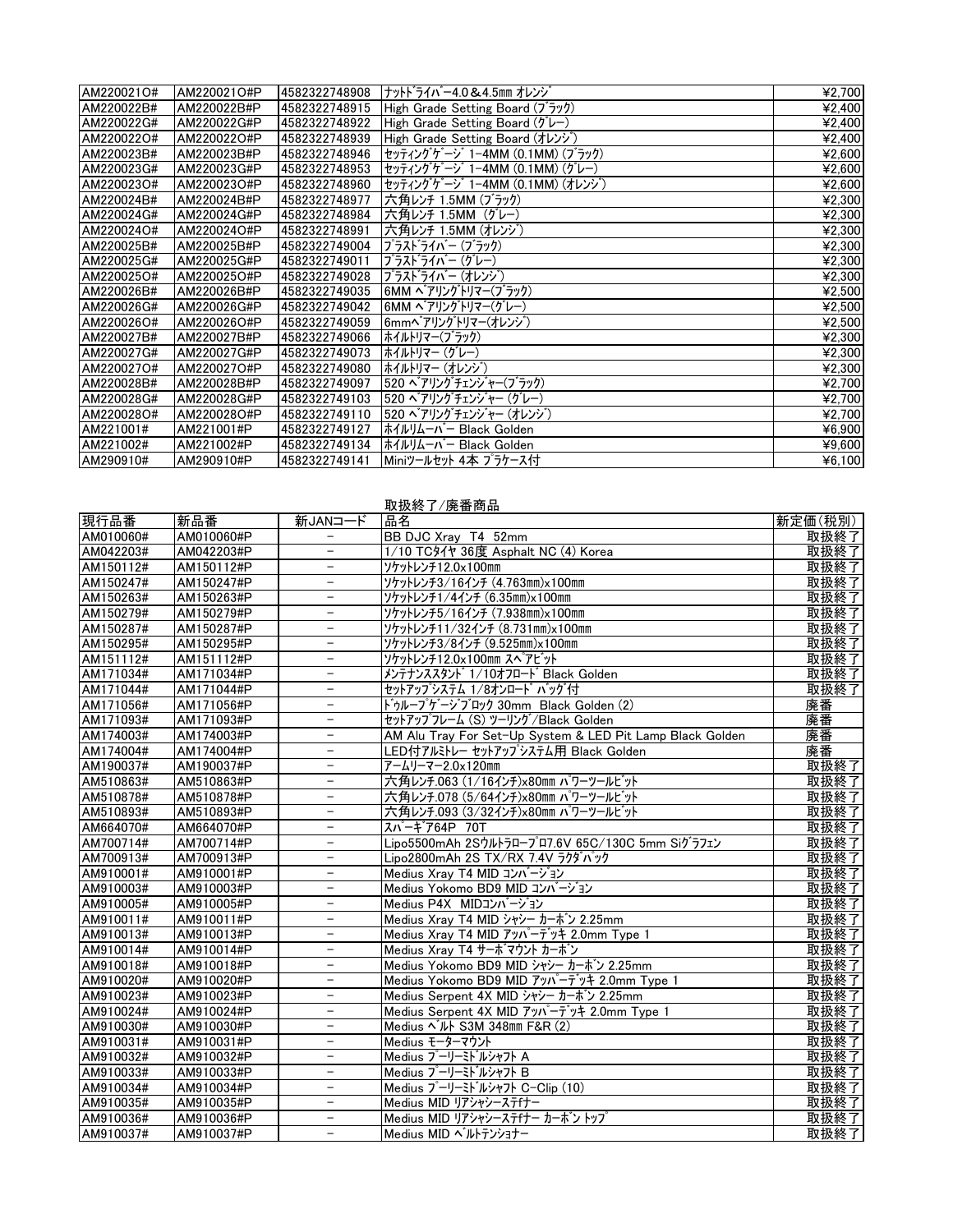| AM220021O# | AM220021O#P | 4582322748908 | ナットドライバー4.0 & 4.5mm オレンジ        | ¥2,700 |
|------------|-------------|---------------|---------------------------------|--------|
| AM220022B# | AM220022B#P | 4582322748915 | High Grade Setting Board (ブラック) | ¥2,400 |
| AM220022G# | AM220022G#P | 4582322748922 | High Grade Setting Board (グレー)  | ¥2,400 |
| AM220022O# | AM220022O#P | 4582322748939 | High Grade Setting Board (オレンジ) | ¥2,400 |
| AM220023B# | AM220023B#P | 4582322748946 | セッティングゲージ 1-4MM (0.1MM) (ブラック)  | ¥2,600 |
| AM220023G# | AM220023G#P | 4582322748953 | セッティングゲージ 1-4MM (0.1MM) (グレー)   | ¥2,600 |
| AM220023O# | AM220023O#P | 4582322748960 | セッティングケージ 1-4MM (0.1MM) (オレンジ)  | ¥2,600 |
| AM220024B# | AM220024B#P | 4582322748977 | 大角レンチ 1.5MM (ブラック)              | ¥2,300 |
| AM220024G# | AM220024G#P | 4582322748984 | │六角レンチ 1.5MM(グレー)               | ¥2,300 |
| AM220024O# | AM220024O#P | 4582322748991 | 六角レンチ 1.5MM (オレンジ)              | ¥2,300 |
| AM220025B# | AM220025B#P | 4582322749004 | プラスト゛ライバー (ブラック)                | ¥2,300 |
| AM220025G# | AM220025G#P | 4582322749011 | プラスト゛ライバー (グレー)                 | ¥2,300 |
| AM220025O# | AM220025O#P | 4582322749028 | プラスドライバー (オレンジ)                 | ¥2,300 |
| AM220026B# | AM220026B#P | 4582322749035 | 6MM ベアリングトリマー(ブラック)             | ¥2,500 |
| AM220026G# | AM220026G#P | 4582322749042 | 6MM ベアリングトリマー(グレー)              | ¥2,500 |
| AM220026O# | AM220026O#P | 4582322749059 | 6mmへ アリングトリマー(オレンジ)             | ¥2,500 |
| AM220027B# | AM220027B#P | 4582322749066 | ホイルトリマー(ブラック)                   | ¥2,300 |
| AM220027G# | AM220027G#P | 4582322749073 | ホイルトリマー (グレー)                   | 42,300 |
| AM220027O# | AM220027O#P | 4582322749080 | ホイルトリマー (オレンジ`)                 | 42,300 |
| AM220028B# | AM220028B#P | 4582322749097 | 520 ベアリングチェンジャー(ブラック)           | ¥2,700 |
| AM220028G# | AM220028G#P | 4582322749103 | 520 ベアリングチェンジャー (グレー)           | ¥2,700 |
| AM220028O# | AM220028O#P | 4582322749110 | 520 ベアリングチェンジャー (オレンジ)          | ¥2,700 |
| AM221001#  | AM221001#P  | 4582322749127 | ホイルリムーバー Black Golden           | ¥6,900 |
| AM221002#  | AM221002#P  | 4582322749134 | ホイルリムーバー Black Golden           | ¥9,600 |
| AM290910#  | AM290910#P  | 4582322749141 | Miniツールセット 4本 プラケース付            | 46,100 |

| 取扱終了/廃番商品 |  |  |  |  |  |  |
|-----------|--|--|--|--|--|--|
|-----------|--|--|--|--|--|--|

| 現行品番      | 新品番        | 新JANコード                  | 品名                                                        | 新定価(税別) |
|-----------|------------|--------------------------|-----------------------------------------------------------|---------|
| AM010060# | AM010060#P |                          | BB DJC Xray T4 52mm                                       | 取扱終了    |
| AM042203# | AM042203#P | Ξ                        | 1/10 TCダイヤ 36度 Asphalt NC (4) Korea                       | 取扱終了    |
| AM150112# | AM150112#P | $\overline{\phantom{0}}$ | ソケットレンチ12.0x100mm                                         | 取扱終了    |
| AM150247# | AM150247#P | $\overline{\phantom{a}}$ | ソケットレンチ3/16インチ (4.763mm)x100mm                            | 取扱終了    |
| AM150263# | AM150263#P | $\equiv$                 | ソケットレンチ1/4インチ (6.35mm)×100mm                              | 取扱終了    |
| AM150279# | AM150279#P | $\equiv$                 | ソケットレンチ5/16インチ (7.938mm)x100mm                            | 取扱終了    |
| AM150287# | AM150287#P |                          | ソケットレンチ11/32インチ (8.731mm)×100mm                           | 取扱終了    |
| AM150295# | AM150295#P | $\equiv$                 | ソケットレンチ3/8インチ (9.525mm)×100mm                             | 取扱終了    |
| AM151112# | AM151112#P | $\frac{1}{2}$            | ソケットレンチ12.0x100mm スペアビット                                  | 取扱終了    |
| AM171034# | AM171034#P | $\qquad \qquad -$        | メンテナンススタント 1/10オフロート Black Golden                         | 取扱終了    |
| AM171044# | AM171044#P | $\equiv$                 | セットアップシステム 1/8オンロート゛ バッグ付                                 | 取扱終了    |
| AM171056# | AM171056#P | $\overline{\phantom{0}}$ | ドゥループゲージブロック 30mm Black Golden (2)                        | 廃番      |
| AM171093# | AM171093#P | $\equiv$                 | セットアップフレーム (S) ツーリング/Black Golden                         | 廃番      |
| AM174003# | AM174003#P | $\overline{\phantom{a}}$ | AM Alu Tray For Set-Up System & LED Pit Lamp Black Golden | 廃番      |
| AM174004# | AM174004#P | $\overline{\phantom{0}}$ | LED付アルミトレー セットアップシステム用 Black Golden                       | 廃番      |
| AM190037# | AM190037#P | ÷,                       | アームリーマー2.0×120mm                                          | 取扱終了    |
| AM510863# | AM510863#P | $\overline{\phantom{0}}$ | 六角レンチ.063 (1/16インチ)x80mm パワーツールビット                        | 取扱終了    |
| AM510878# | AM510878#P | $\equiv$                 | 六角レンチ.078 (5/64インチ)x80mm パワーツールビット                        | 取扱終了    |
| AM510893# | AM510893#P | $\equiv$                 | 六角レンチ.093 (3/32インチ)x80mm パワーツールビット                        | 取扱終了    |
| AM664070# | AM664070#P | $\overline{\phantom{a}}$ | スパーキア64P 70T                                              | 取扱終了    |
| AM700714# | AM700714#P | $\overline{\phantom{a}}$ | Lipo5500mAh 2Sウルトラロープロ7.6V 65C/130C 5mm Siグラフェン           | 取扱終了    |
| AM700913# | AM700913#P | $\overline{\phantom{0}}$ | Lipo2800mAh 2S TX/RX 7.4V ラクダパック                          | 取扱終了    |
| AM910001# | AM910001#P | $\qquad \qquad -$        | Medius Xray T4 MID コンバージョン                                | 取扱終了    |
| AM910003# | AM910003#P | $\overline{\phantom{0}}$ | Medius Yokomo BD9 MID コンバージョン                             | 取扱終了    |
| AM910005# | AM910005#P | $\equiv$                 | Medius P4X MIDコンバージョン                                     | 取扱終了    |
| AM910011# | AM910011#P | $\equiv$                 | Medius Xrav T4 MID シャシー カーボン 2.25mm                       | 取扱終了    |
| AM910013# | AM910013#P | $\overline{\phantom{a}}$ | Medius Xray T4 MID アッパーテッキ 2.0mm Type 1                   | 取扱終了    |
| AM910014# | AM910014#P | $\equiv$                 | Medius Xray T4 サーボマウント カーボン                               | 取扱終了    |
| AM910018# | AM910018#P | $\overline{\phantom{0}}$ | Medius Yokomo BD9 MID シャシー カーボン 2.25mm                    | 取扱終了    |
| AM910020# | AM910020#P | $\equiv$                 | Medius Yokomo BD9 MID アッパーテッキ 2.0mm Type 1                | 取扱終了    |
| AM910023# | AM910023#P | $\equiv$                 | Medius Serpent 4X MID シャシー カーボン 2.25mm                    | 取扱終了    |
| AM910024# | AM910024#P | $-$                      | Medius Serpent 4X MID アッパーテッキ 2.0mm Type 1                | 取扱終了    |
| AM910030# | AM910030#P | $\equiv$                 | Medius $\sim$ IV S3M 348mm F&R (2)                        | 取扱終了    |
| AM910031# | AM910031#P | $\overline{\phantom{0}}$ | Medius モーターマウント                                           | 取扱終了    |
| AM910032# | AM910032#P | $\overline{\phantom{0}}$ | Medius プーリーミドルシャフト A                                      | 取扱終了    |
| AM910033# | AM910033#P | $\equiv$                 | Medius プーリーミドルシャフト B                                      | 取扱終了    |
| AM910034# | AM910034#P | $\overline{\phantom{m}}$ | Medius プーリーミト゛ルシャフト C-Clip (10)                           | 取扱終了    |
| AM910035# | AM910035#P | $\qquad \qquad -$        | Medius MID リアシャシーステfナー                                    | 取扱終了    |
| AM910036# | AM910036#P | $\equiv$                 | Medius MID リアシャシーステfナー カーボン トップ                           | 取扱終了    |
| AM910037# | AM910037#P | $\overline{\phantom{0}}$ | Medius MID ^ ルトテンショナー                                     | 取扱終了    |